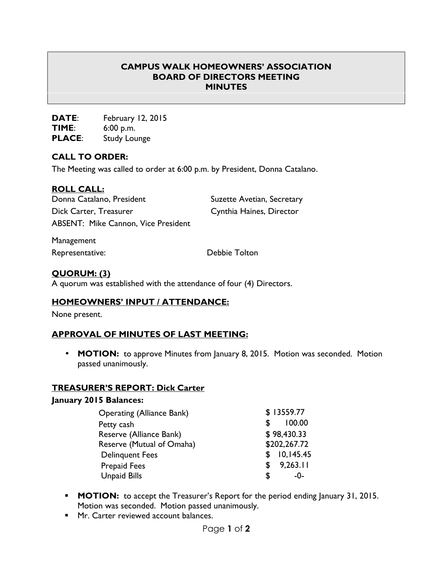## **CAMPUS WALK HOMEOWNERS' ASSOCIATION BOARD OF DIRECTORS MEETING MINUTES**

**DATE**: February 12, 2015 **TIME**: 6:00 p.m. **PLACE**: Study Lounge

### **CALL TO ORDER:**

The Meeting was called to order at 6:00 p.m. by President, Donna Catalano.

### **ROLL CALL:**

| Donna Catalano, President                  | Suzette Avetian, Secretary |
|--------------------------------------------|----------------------------|
| Dick Carter, Treasurer                     | Cynthia Haines, Director   |
| <b>ABSENT: Mike Cannon, Vice President</b> |                            |

Management

Representative: Debbie Tolton

## **QUORUM: (3)**

A quorum was established with the attendance of four (4) Directors.

### **HOMEOWNERS' INPUT / ATTENDANCE:**

None present.

# **APPROVAL OF MINUTES OF LAST MEETING:**

• **MOTION:** to approve Minutes from January 8, 2015. Motion was seconded. Motion passed unanimously.

### **TREASURER'S REPORT: Dick Carter**

#### **January 2015 Balances:**

| <b>Operating (Alliance Bank)</b> | \$13559.77     |
|----------------------------------|----------------|
| Petty cash                       | 100.00<br>S    |
| Reserve (Alliance Bank)          | \$98,430.33    |
| Reserve (Mutual of Omaha)        | \$202,267.72   |
| <b>Delinguent Fees</b>           | \$10,145.45    |
| <b>Prepaid Fees</b>              | 9,263.11<br>S. |
| <b>Unpaid Bills</b>              | S<br>-0-       |

- **MOTION:** to accept the Treasurer's Report for the period ending January 31, 2015. Motion was seconded. Motion passed unanimously.
- **Mr.** Carter reviewed account balances.